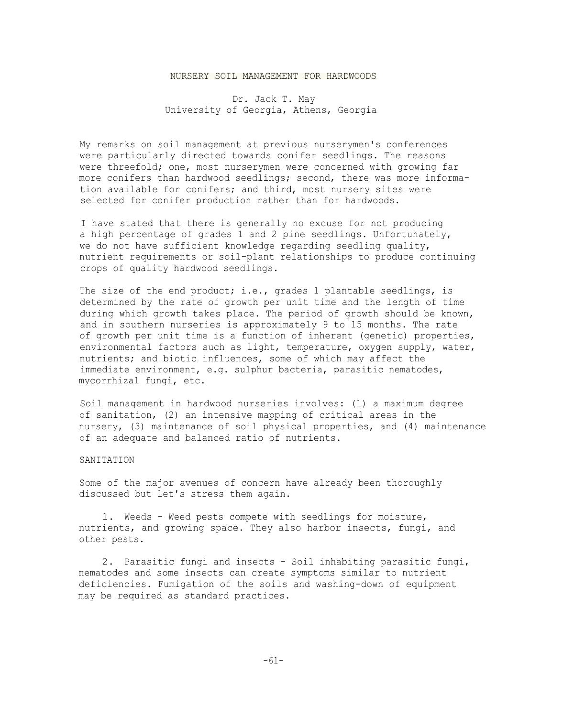## NURSERY SOIL MANAGEMENT FOR HARDWOODS

Dr. Jack T. May University of Georgia, Athens, Georgia

My remarks on soil management at previous nurserymen's conferences were particularly directed towards conifer seedlings. The reasons were threefold; one, most nurserymen were concerned with growing far more conifers than hardwood seedlings; second, there was more information available for conifers; and third, most nursery sites were selected for conifer production rather than for hardwoods.

I have stated that there is generally no excuse for not producing a high percentage of grades 1 and 2 pine seedlings. Unfortunately, we do not have sufficient knowledge regarding seedling quality, nutrient requirements or soil-plant relationships to produce continuing crops of quality hardwood seedlings.

The size of the end product; i.e., grades 1 plantable seedlings, is determined by the rate of growth per unit time and the length of time during which growth takes place. The period of growth should be known, and in southern nurseries is approximately 9 to 15 months. The rate of growth per unit time is a function of inherent (genetic) properties, environmental factors such as light, temperature, oxygen supply, water, nutrients; and biotic influences, some of which may affect the immediate environment, e.g. sulphur bacteria, parasitic nematodes, mycorrhizal fungi, etc.

Soil management in hardwood nurseries involves: (1) a maximum degree of sanitation, (2) an intensive mapping of critical areas in the nursery, (3) maintenance of soil physical properties, and (4) maintenance of an adequate and balanced ratio of nutrients.

## SANITATION

Some of the major avenues of concern have already been thoroughly discussed but let's stress them again.

1. Weeds - Weed pests compete with seedlings for moisture, nutrients, and growing space. They also harbor insects, fungi, and other pests.

2. Parasitic fungi and insects - Soil inhabiting parasitic fungi, nematodes and some insects can create symptoms similar to nutrient deficiencies. Fumigation of the soils and washing-down of equipment may be required as standard practices.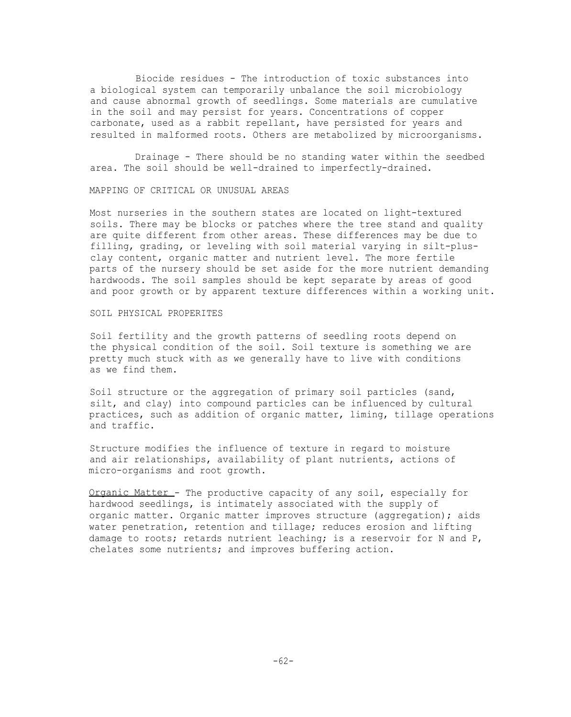Biocide residues - The introduction of toxic substances into a biological system can temporarily unbalance the soil microbiology and cause abnormal growth of seedlings. Some materials are cumulative in the soil and may persist for years. Concentrations of copper carbonate, used as a rabbit repellant, have persisted for years and resulted in malformed roots. Others are metabolized by microorganisms.

Drainage - There should be no standing water within the seedbed area. The soil should be well-drained to imperfectly-drained.

MAPPING OF CRITICAL OR UNUSUAL AREAS

Most nurseries in the southern states are located on light-textured soils. There may be blocks or patches where the tree stand and quality are quite different from other areas. These differences may be due to filling, grading, or leveling with soil material varying in silt-plusclay content, organic matter and nutrient level. The more fertile parts of the nursery should be set aside for the more nutrient demanding hardwoods. The soil samples should be kept separate by areas of good and poor growth or by apparent texture differences within a working unit.

### SOIL PHYSICAL PROPERITES

Soil fertility and the growth patterns of seedling roots depend on the physical condition of the soil. Soil texture is something we are pretty much stuck with as we generally have to live with conditions as we find them.

Soil structure or the aggregation of primary soil particles (sand, silt, and clay) into compound particles can be influenced by cultural practices, such as addition of organic matter, liming, tillage operations and traffic.

Structure modifies the influence of texture in regard to moisture and air relationships, availability of plant nutrients, actions of micro-organisms and root growth.

Organic Matter - The productive capacity of any soil, especially for hardwood seedlings, is intimately associated with the supply of organic matter. Organic matter improves structure (aggregation); aids water penetration, retention and tillage; reduces erosion and lifting damage to roots; retards nutrient leaching; is a reservoir for N and P, chelates some nutrients; and improves buffering action.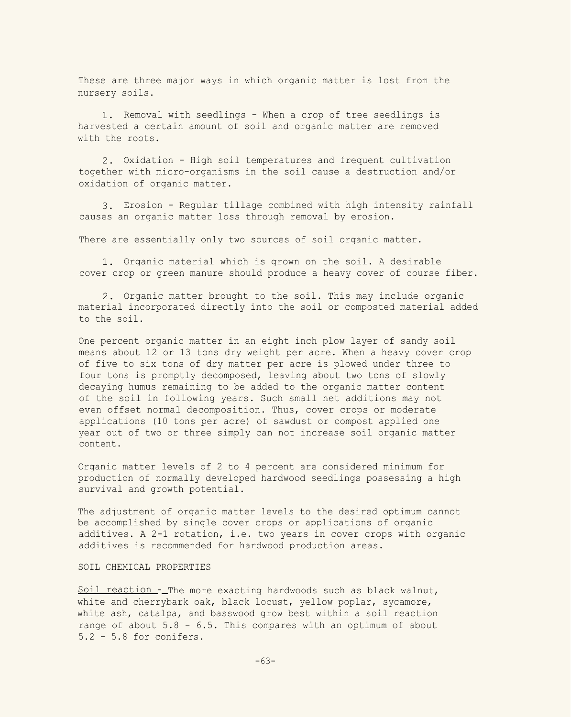These are three major ways in which organic matter is lost from the nursery soils.

1. Removal with seedlings - When a crop of tree seedlings is harvested a certain amount of soil and organic matter are removed with the roots.

2. Oxidation - High soil temperatures and frequent cultivation together with micro-organisms in the soil cause a destruction and/or oxidation of organic matter.

3. Erosion - Regular tillage combined with high intensity rainfall causes an organic matter loss through removal by erosion.

There are essentially only two sources of soil organic matter.

1. Organic material which is grown on the soil. A desirable cover crop or green manure should produce a heavy cover of course fiber.

2. Organic matter brought to the soil. This may include organic material incorporated directly into the soil or composted material added to the soil.

One percent organic matter in an eight inch plow layer of sandy soil means about 12 or 13 tons dry weight per acre. When a heavy cover crop of five to six tons of dry matter per acre is plowed under three to four tons is promptly decomposed, leaving about two tons of slowly decaying humus remaining to be added to the organic matter content of the soil in following years. Such small net additions may not even offset normal decomposition. Thus, cover crops or moderate applications (10 tons per acre) of sawdust or compost applied one year out of two or three simply can not increase soil organic matter content.

Organic matter levels of 2 to 4 percent are considered minimum for production of normally developed hardwood seedlings possessing a high survival and growth potential.

The adjustment of organic matter levels to the desired optimum cannot be accomplished by single cover crops or applications of organic additives. A 2-1 rotation, i.e. two years in cover crops with organic additives is recommended for hardwood production areas.

# SOIL CHEMICAL PROPERTIES

Soil reaction -\_ The more exacting hardwoods such as black walnut, white and cherrybark oak, black locust, yellow poplar, sycamore, white ash, catalpa, and basswood grow best within a soil reaction range of about 5.8 - 6.5. This compares with an optimum of about 5.2 - 5.8 for conifers.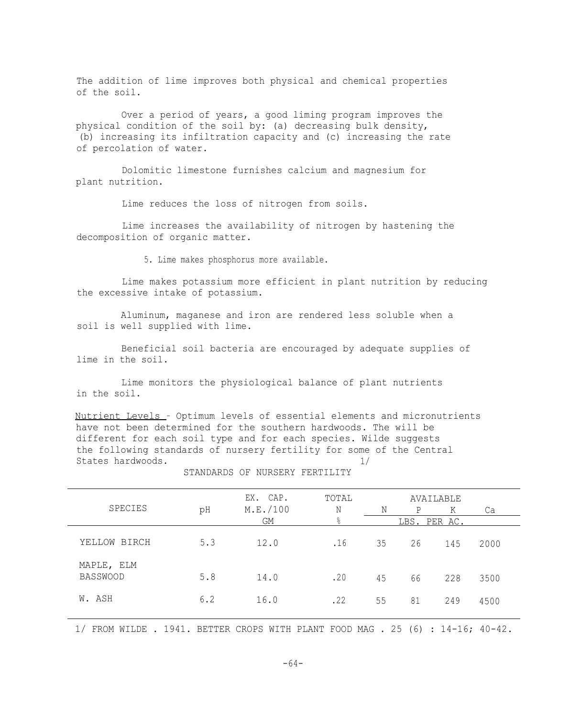The addition of lime improves both physical and chemical properties of the soil.

Over a period of years, a good liming program improves the physical condition of the soil by: (a) decreasing bulk density, (b) increasing its infiltration capacity and (c) increasing the rate of percolation of water.

Dolomitic limestone furnishes calcium and magnesium for plant nutrition.

Lime reduces the loss of nitrogen from soils.

Lime increases the availability of nitrogen by hastening the decomposition of organic matter.

5. Lime makes phosphorus more available.

Lime makes potassium more efficient in plant nutrition by reducing the excessive intake of potassium.

Aluminum, maganese and iron are rendered less soluble when a soil is well supplied with lime.

Beneficial soil bacteria are encouraged by adequate supplies of lime in the soil.

Lime monitors the physiological balance of plant nutrients in the soil.

Nutrient Levels - Optimum levels of essential elements and micronutrients have not been determined for the southern hardwoods. The will be different for each soil type and for each species. Wilde suggests the following standards of nursery fertility for some of the Central States hardwoods. 1/

| SPECIES                       | pH  | EX. CAP.<br>M.E. / 100 | TOTAL<br>Ν | AVAILABLE<br>Ν<br>P<br>Κ<br>Ca |    |     |      |
|-------------------------------|-----|------------------------|------------|--------------------------------|----|-----|------|
|                               |     | <b>GM</b>              | $\%$       | LBS. PER AC.                   |    |     |      |
| YELLOW BIRCH                  | 5.3 | 12.0                   | .16        | 35                             | 26 | 145 | 2000 |
| MAPLE, ELM<br><b>BASSWOOD</b> | 5.8 | 14.0                   | .20        | 45                             | 66 | 228 | 3500 |
| W. ASH                        | 6.2 | 16.0                   | .22        | 55                             | 81 | 249 | 4500 |

STANDARDS OF NURSERY FERTILITY

1/ FROM WILDE . 1941. BETTER CROPS WITH PLANT FOOD MAG . 25 (6) : 14-16; 40-42.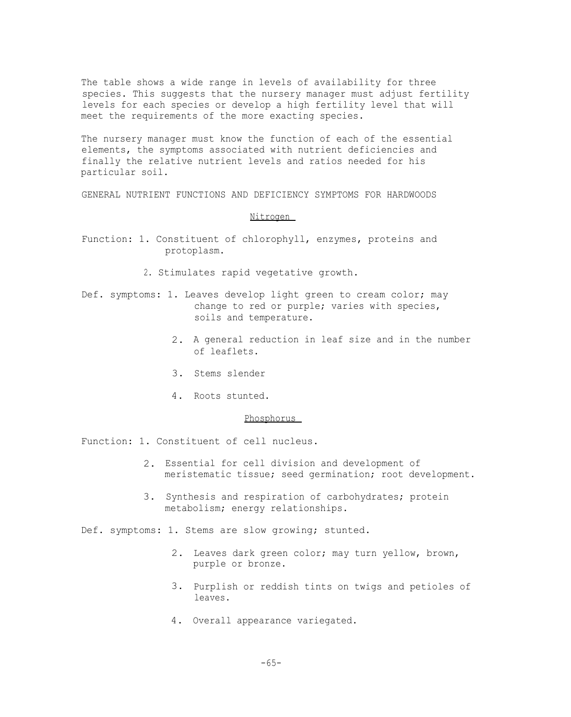The table shows a wide range in levels of availability for three species. This suggests that the nursery manager must adjust fertility levels for each species or develop a high fertility level that will meet the requirements of the more exacting species.

The nursery manager must know the function of each of the essential elements, the symptoms associated with nutrient deficiencies and finally the relative nutrient levels and ratios needed for his particular soil.

GENERAL NUTRIENT FUNCTIONS AND DEFICIENCY SYMPTOMS FOR HARDWOODS

### Nitrogen

- Function: 1. Constituent of chlorophyll, enzymes, proteins and protoplasm.
	- 2. Stimulates rapid vegetative growth.
- Def. symptoms: 1. Leaves develop light green to cream color; may change to red or purple; varies with species, soils and temperature.
	- 2. A general reduction in leaf size and in the number of leaflets.
	- 3. Stems slender
	- 4. Roots stunted.

### Phosphorus

Function: 1. Constituent of cell nucleus.

- 2. Essential for cell division and development of meristematic tissue; seed germination; root development.
- 3. Synthesis and respiration of carbohydrates; protein metabolism; energy relationships.

Def. symptoms: 1. Stems are slow growing; stunted.

- 2. Leaves dark green color; may turn yellow, brown, purple or bronze.
- 3. Purplish or reddish tints on twigs and petioles of leaves.
- 4. Overall appearance variegated.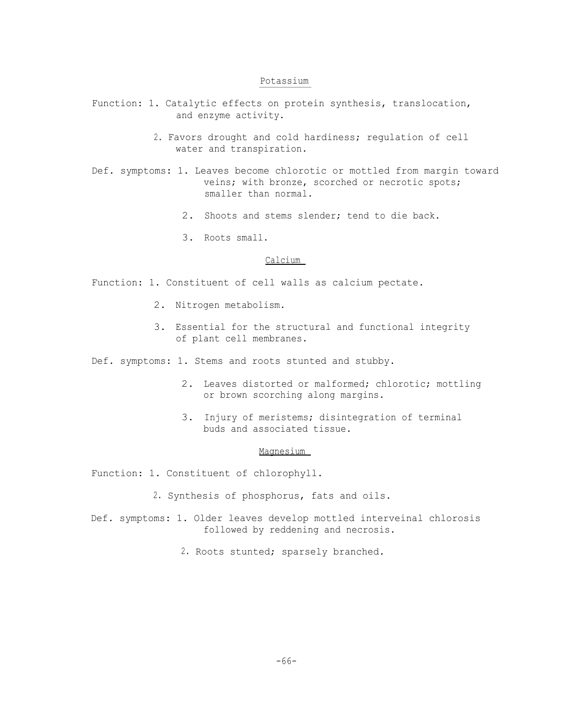## Potassium

- Function: 1. Catalytic effects on protein synthesis, translocation, and enzyme activity.
	- 2. Favors drought and cold hardiness; regulation of cell water and transpiration.
- Def. symptoms: 1. Leaves become chlorotic or mottled from margin toward veins; with bronze, scorched or necrotic spots; smaller than normal.
	- 2. Shoots and stems slender; tend to die back.
	- 3. Roots small.

# Calcium

Function: 1. Constituent of cell walls as calcium pectate.

- 2. Nitrogen metabolism.
- 3. Essential for the structural and functional integrity of plant cell membranes.
- Def. symptoms: 1. Stems and roots stunted and stubby.
	- 2. Leaves distorted or malformed; chlorotic; mottling or brown scorching along margins.
	- 3. Injury of meristems; disintegration of terminal buds and associated tissue.

### Magnesium

Function: 1. Constituent of chlorophyll.

- 2. Synthesis of phosphorus, fats and oils.
- Def. symptoms: 1. Older leaves develop mottled interveinal chlorosis followed by reddening and necrosis.
	- 2. Roots stunted; sparsely branched.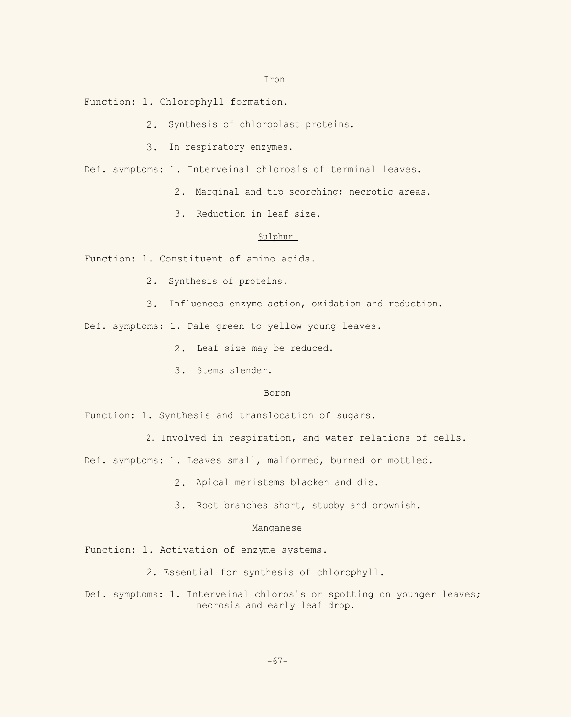Iron

Function: 1. Chlorophyll formation.

- 2. Synthesis of chloroplast proteins.
- 3. In respiratory enzymes.

Def. symptoms: 1. Interveinal chlorosis of terminal leaves.

- 2. Marginal and tip scorching; necrotic areas.
- 3. Reduction in leaf size.

# Sulphur

Function: 1. Constituent of amino acids.

- 2. Synthesis of proteins.
- 3. Influences enzyme action, oxidation and reduction.

Def. symptoms: 1. Pale green to yellow young leaves.

- 2. Leaf size may be reduced.
- 3. Stems slender.

# Boron

Function: 1. Synthesis and translocation of sugars.

2. Involved in respiration, and water relations of cells.

Def. symptoms: 1. Leaves small, malformed, burned or mottled.

- 2. Apical meristems blacken and die.
- 3. Root branches short, stubby and brownish.

## Manganese

Function: 1. Activation of enzyme systems.

- 2. Essential for synthesis of chlorophyll.
- Def. symptoms: 1. Interveinal chlorosis or spotting on younger leaves; necrosis and early leaf drop.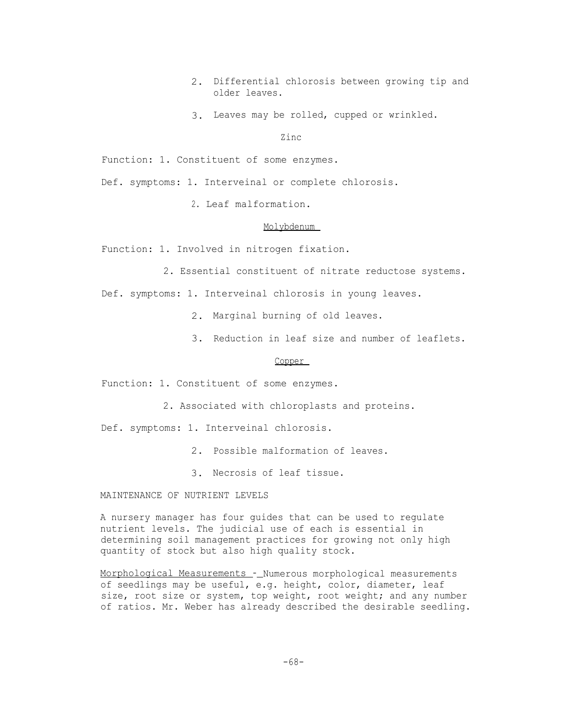- 2. Differential chlorosis between growing tip and older leaves.
- 3. Leaves may be rolled, cupped or wrinkled.

Zinc

Function: 1. Constituent of some enzymes.

Def. symptoms: 1. Interveinal or complete chlorosis.

2. Leaf malformation.

## Molybdenum

Function: 1. Involved in nitrogen fixation.

2. Essential constituent of nitrate reductose systems.

Def. symptoms: 1. Interveinal chlorosis in young leaves.

- 2. Marginal burning of old leaves.
- 3. Reduction in leaf size and number of leaflets.

## Copper

Function: 1. Constituent of some enzymes.

2. Associated with chloroplasts and proteins.

Def. symptoms: 1. Interveinal chlorosis.

- 2. Possible malformation of leaves.
- 3. Necrosis of leaf tissue.

MAINTENANCE OF NUTRIENT LEVELS

A nursery manager has four guides that can be used to regulate nutrient levels. The judicial use of each is essential in determining soil management practices for growing not only high quantity of stock but also high quality stock.

Morphological Measurements - Numerous morphological measurements of seedlings may be useful, e.g. height, color, diameter, leaf size, root size or system, top weight, root weight; and any number of ratios. Mr. Weber has already described the desirable seedling.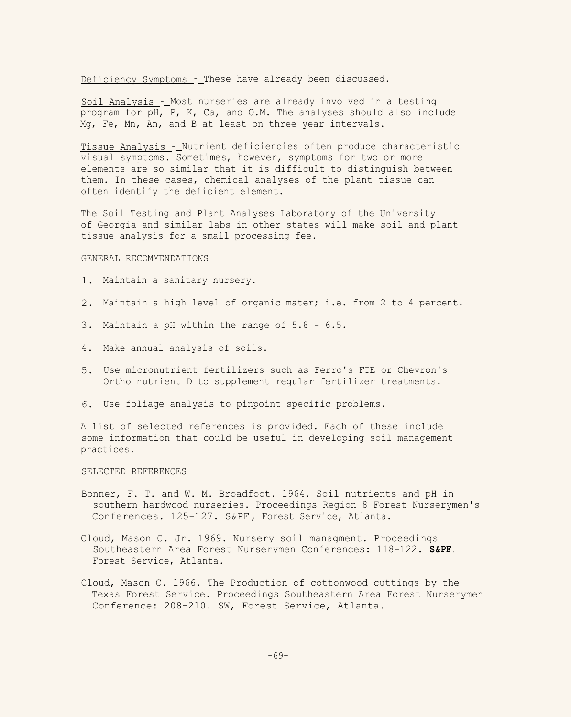Deficiency Symptoms - These have already been discussed.

Soil Analysis -\_Most nurseries are already involved in a testing program for pH, P, K, Ca, and O.M. The analyses should also include Mg, Fe, Mn, An, and B at least on three year intervals.

Tissue Analysis - Nutrient deficiencies often produce characteristic visual symptoms. Sometimes, however, symptoms for two or more elements are so similar that it is difficult to distinguish between them. In these cases, chemical analyses of the plant tissue can often identify the deficient element.

The Soil Testing and Plant Analyses Laboratory of the University of Georgia and similar labs in other states will make soil and plant tissue analysis for a small processing fee.

#### GENERAL RECOMMENDATIONS

- 1. Maintain a sanitary nursery.
- 2. Maintain a high level of organic mater; i.e. from 2 to 4 percent.
- 3. Maintain a pH within the range of 5.8 6.5.
- 4. Make annual analysis of soils.
- 5. Use micronutrient fertilizers such as Ferro's FTE or Chevron's Ortho nutrient D to supplement regular fertilizer treatments.
- 6. Use foliage analysis to pinpoint specific problems.

A list of selected references is provided. Each of these include some information that could be useful in developing soil management practices.

### SELECTED REFERENCES

- Bonner, F. T. and W. M. Broadfoot. 1964. Soil nutrients and pH in southern hardwood nurseries. Proceedings Region 8 Forest Nurserymen's Conferences. 125-127. S&PF , Forest Service, Atlanta.
- Cloud, Mason C. Jr. 1969. Nursery soil managment. Proceedings Southeastern Area Forest Nurserymen Conferences: 118-122. **S&PF,** Forest Service, Atlanta.
- Cloud, Mason C. 1966. The Production of cottonwood cuttings by the Texas Forest Service. Proceedings Southeastern Area Forest Nurserymen Conference: 208-210. SW, Forest Service, Atlanta.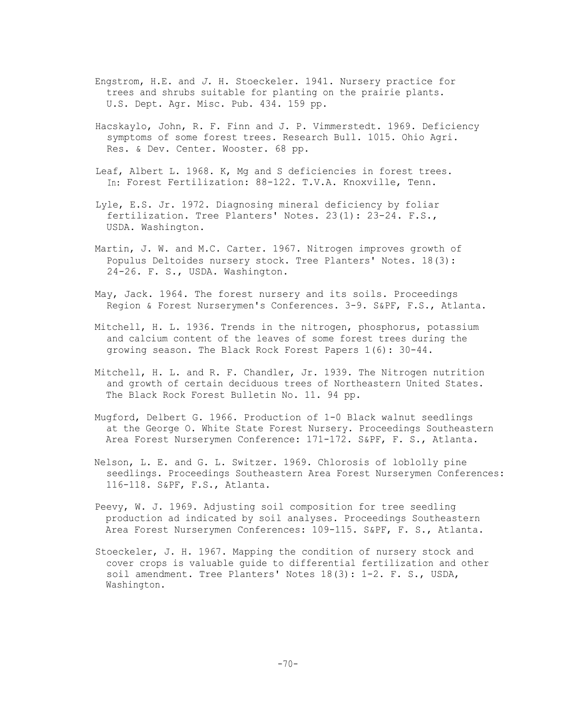- Engstrom, H.E. and *J.* H. Stoeckeler. 1941. Nursery practice for trees and shrubs suitable for planting on the prairie plants. U.S. Dept. Agr. Misc. Pub. 434. 159 pp.
- Hacskaylo, John, R. F. Finn and J. P. Vimmerstedt. 1969. Deficiency symptoms of some forest trees. Research Bull. 1015. Ohio Agri. Res. & Dev. Center. Wooster. 68 pp.
- Leaf, Albert L. 1968. K, Mg and S deficiencies in forest trees. In: Forest Fertilization: 88-122. T.V.A. Knoxville, Tenn.
- Lyle, E.S. Jr. 1972. Diagnosing mineral deficiency by foliar fertilization. Tree Planters' Notes. 23(1): 23-24. F.S., USDA. Washington.
- Martin, J. W. and M.C. Carter. 1967. Nitrogen improves growth of Populus Deltoides nursery stock. Tree Planters' Notes. 18(3): 24-26. F. S., USDA. Washington.
- May, Jack. 1964. The forest nursery and its soils. Proceedings Region & Forest Nurserymen's Conferences. 3-9. S&PF, F.S., Atlanta.
- Mitchell, H. L. 1936. Trends in the nitrogen, phosphorus, potassium and calcium content of the leaves of some forest trees during the growing season. The Black Rock Forest Papers 1(6): 30-44.
- Mitchell, H. L. and R. F. Chandler, Jr. 1939. The Nitrogen nutrition and growth of certain deciduous trees of Northeastern United States. The Black Rock Forest Bulletin No. 11. 94 pp.
- Mugford, Delbert G. 1966. Production of 1-0 Black walnut seedlings at the George O. White State Forest Nursery. Proceedings Southeastern Area Forest Nurserymen Conference: 171-172. S&PF, F. S., Atlanta.
- Nelson, L. E. and G. L. Switzer. 1969. Chlorosis of loblolly pine seedlings. Proceedings Southeastern Area Forest Nurserymen Conferences: 116-118. S&PF, F.S., Atlanta.
- Peevy, W. J. 1969. Adjusting soil composition for tree seedling production ad indicated by soil analyses. Proceedings Southeastern Area Forest Nurserymen Conferences: 109-115. S&PF, F. S., Atlanta.
- Stoeckeler, J. H. 1967. Mapping the condition of nursery stock and cover crops is valuable guide to differential fertilization and other soil amendment. Tree Planters' Notes 18(3): 1-2. F. S., USDA, Washington.